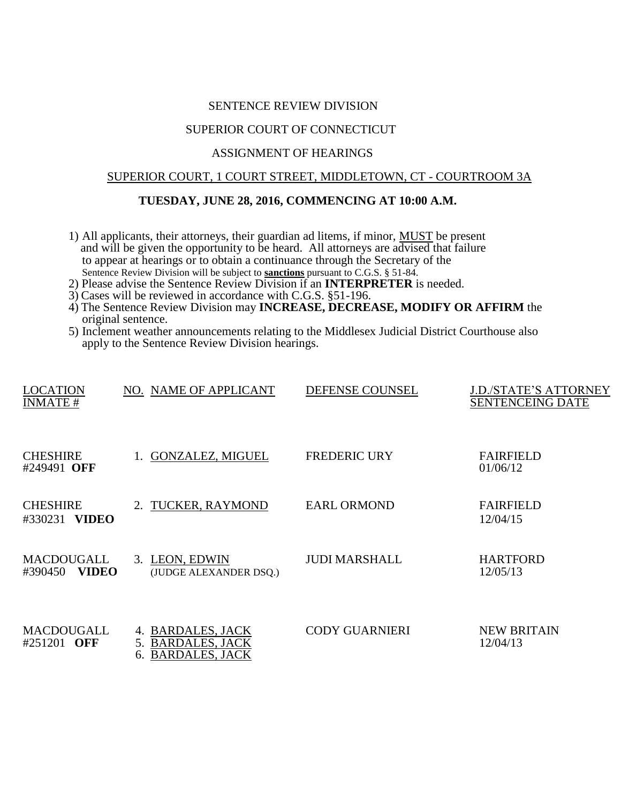#### SENTENCE REVIEW DIVISION

# SUPERIOR COURT OF CONNECTICUT

# ASSIGNMENT OF HEARINGS

# SUPERIOR COURT, 1 COURT STREET, MIDDLETOWN, CT - COURTROOM 3A

# **TUESDAY, JUNE 28, 2016, COMMENCING AT 10:00 A.M.**

- 1) All applicants, their attorneys, their guardian ad litems, if minor, MUST be present and will be given the opportunity to be heard. All attorneys are advised that failure to appear at hearings or to obtain a continuance through the Secretary of the Sentence Review Division will be subject to **sanctions** pursuant to C.G.S. § 51-84.
- 2) Please advise the Sentence Review Division if an **INTERPRETER** is needed.
- 3) Cases will be reviewed in accordance with C.G.S. §51-196.
- 4) The Sentence Review Division may **INCREASE, DECREASE, MODIFY OR AFFIRM** the original sentence.
- 5) Inclement weather announcements relating to the Middlesex Judicial District Courthouse also apply to the Sentence Review Division hearings.

| <b>LOCATION</b><br><b>INMATE#</b>          | NO. NAME OF APPLICANT                                                 | DEFENSE COUNSEL       | J.D./STATE'S ATTORNEY<br><b>SENTENCEING DATE</b> |
|--------------------------------------------|-----------------------------------------------------------------------|-----------------------|--------------------------------------------------|
| <b>CHESHIRE</b><br>#249491 OFF             | 1. GONZALEZ, MIGUEL                                                   | <b>FREDERIC URY</b>   | <b>FAIRFIELD</b><br>01/06/12                     |
| <b>CHESHIRE</b><br><b>VIDEO</b><br>#330231 | 2. TUCKER, RAYMOND                                                    | <b>EARL ORMOND</b>    | <b>FAIRFIELD</b><br>12/04/15                     |
| MACDOUGALL<br><b>VIDEO</b><br>#390450      | 3. LEON, EDWIN<br>(JUDGE ALEXANDER DSQ.)                              | <b>JUDI MARSHALL</b>  | <b>HARTFORD</b><br>12/05/13                      |
| MACDOUGALL<br>#251201 OFF                  | 4. BARDALES, JACK<br>5. BARDALES, JACK<br><b>BARDALES, JACK</b><br>6. | <b>CODY GUARNIERI</b> | <b>NEW BRITAIN</b><br>12/04/13                   |